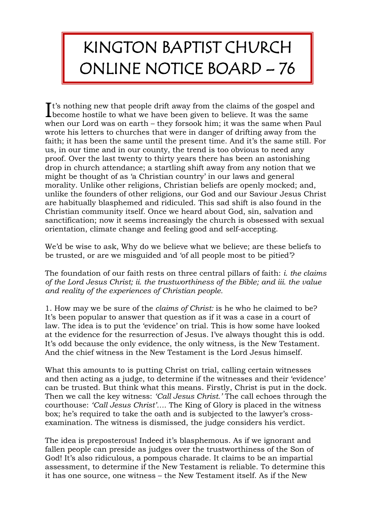## KINGTON BAPTIST CHURCH ONLINE NOTICE BOARD – 76

t's nothing new that people drift away from the claims of the gospel and  $\mathbf{I}^{\text{t's nothing new that people drift away from the claims of the gospel an become hostile to what we have been given to believe. It was the same$ when our Lord was on earth – they forsook him; it was the same when Paul wrote his letters to churches that were in danger of drifting away from the faith; it has been the same until the present time. And it's the same still. For us, in our time and in our county, the trend is too obvious to need any proof. Over the last twenty to thirty years there has been an astonishing drop in church attendance; a startling shift away from any notion that we might be thought of as 'a Christian country' in our laws and general morality. Unlike other religions, Christian beliefs are openly mocked; and, unlike the founders of other religions, our God and our Saviour Jesus Christ are habitually blasphemed and ridiculed. This sad shift is also found in the Christian community itself. Once we heard about God, sin, salvation and sanctification; now it seems increasingly the church is obsessed with sexual orientation, climate change and feeling good and self-accepting.

We'd be wise to ask, Why do we believe what we believe; are these beliefs to be trusted, or are we misguided and 'of all people most to be pitied'?

The foundation of our faith rests on three central pillars of faith: *i. the claims of the Lord Jesus Christ; ii. the trustworthiness of the Bible; and iii. the value and reality of the experiences of Christian people.*

1. How may we be sure of the *claims of Christ:* is he who he claimed to be? It's been popular to answer that question as if it was a case in a court of law. The idea is to put the 'evidence' on trial. This is how some have looked at the evidence for the resurrection of Jesus. I've always thought this is odd. It's odd because the only evidence, the only witness, is the New Testament. And the chief witness in the New Testament is the Lord Jesus himself.

What this amounts to is putting Christ on trial, calling certain witnesses and then acting as a judge, to determine if the witnesses and their 'evidence' can be trusted. But think what this means. Firstly, Christ is put in the dock. Then we call the key witness: *'Call Jesus Christ.'* The call echoes through the courthouse: *'Call Jesus Christ'….* The King of Glory is placed in the witness box; he's required to take the oath and is subjected to the lawyer's crossexamination. The witness is dismissed, the judge considers his verdict.

The idea is preposterous! Indeed it's blasphemous. As if we ignorant and fallen people can preside as judges over the trustworthiness of the Son of God! It's also ridiculous, a pompous charade. It claims to be an impartial assessment, to determine if the New Testament is reliable. To determine this it has one source, one witness – the New Testament itself. As if the New